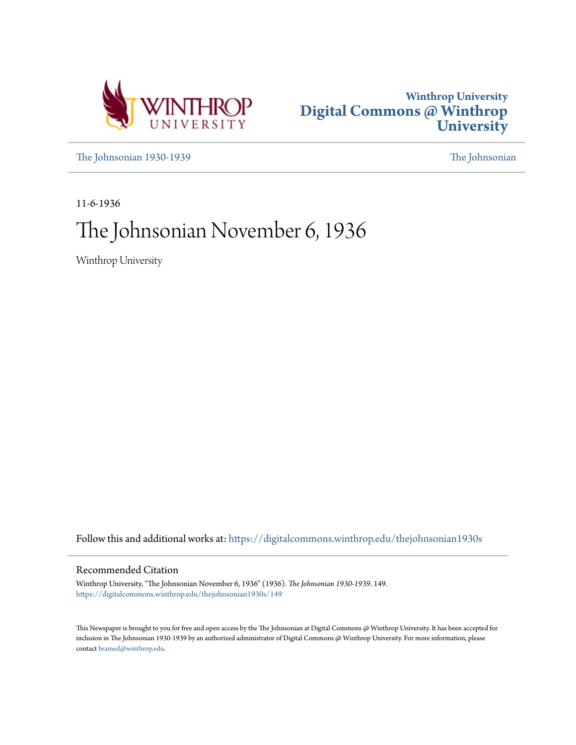



[The Johnsonian 1930-1939](https://digitalcommons.winthrop.edu/thejohnsonian1930s?utm_source=digitalcommons.winthrop.edu%2Fthejohnsonian1930s%2F149&utm_medium=PDF&utm_campaign=PDFCoverPages) [The Johnsonian](https://digitalcommons.winthrop.edu/thejohnsonian_newspaper?utm_source=digitalcommons.winthrop.edu%2Fthejohnsonian1930s%2F149&utm_medium=PDF&utm_campaign=PDFCoverPages)

11-6-1936

# The Johnsonian November 6, 1936

Winthrop University

Follow this and additional works at: [https://digitalcommons.winthrop.edu/thejohnsonian1930s](https://digitalcommons.winthrop.edu/thejohnsonian1930s?utm_source=digitalcommons.winthrop.edu%2Fthejohnsonian1930s%2F149&utm_medium=PDF&utm_campaign=PDFCoverPages)

## Recommended Citation

Winthrop University, "The Johnsonian November 6, 1936" (1936). *The Johnsonian 1930-1939*. 149. [https://digitalcommons.winthrop.edu/thejohnsonian1930s/149](https://digitalcommons.winthrop.edu/thejohnsonian1930s/149?utm_source=digitalcommons.winthrop.edu%2Fthejohnsonian1930s%2F149&utm_medium=PDF&utm_campaign=PDFCoverPages)

This Newspaper is brought to you for free and open access by the The Johnsonian at Digital Commons @ Winthrop University. It has been accepted for inclusion in The Johnsonian 1930-1939 by an authorized administrator of Digital Commons @ Winthrop University. For more information, please contact [bramed@winthrop.edu](mailto:bramed@winthrop.edu).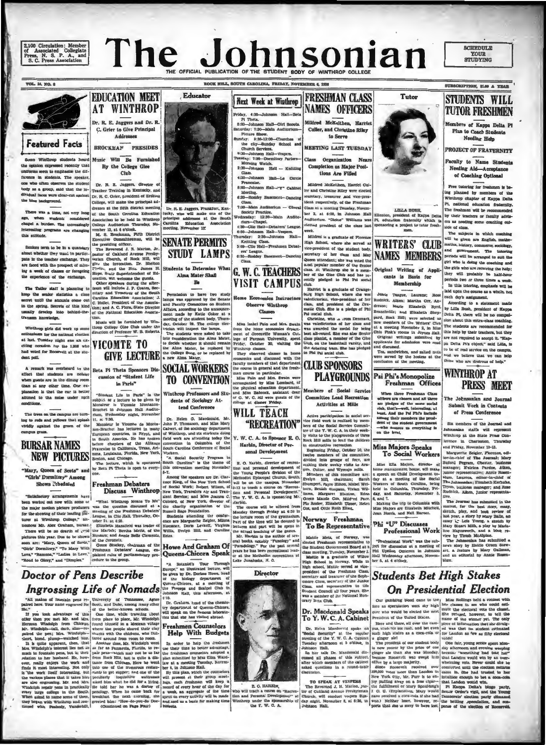2,100 Circulation; Member<br>of Associated Collegiate<br>Press, N. S. P. A., and<br>S. C. Press Association

# The Johnsonia THE OFFICIAL PUBLICATION OF THE STUDENT BODY



To the Machine Control of the Paper of The Machine City in C. A. Cabinet<br>The Security at the regular<br>Theoday of the Y. W. C. A. Cabinet<br>Theoday afternoon st 5 o's<br>block. The Talk Dr. Macdonald distinct after which may be t

TO SPEAK AT VESPERS To SPEAK AT VESPERS<br>
(The Reverted J. H. Maxion, past-<br>
for of Oakland Avenue Presbyterian<br>
(Church, will conduct vespers Sun-<br>
(day night, November 6, at 6:30, in<br>
(day night, November 6, at 6:30, in

**SCHEDULE YOUR**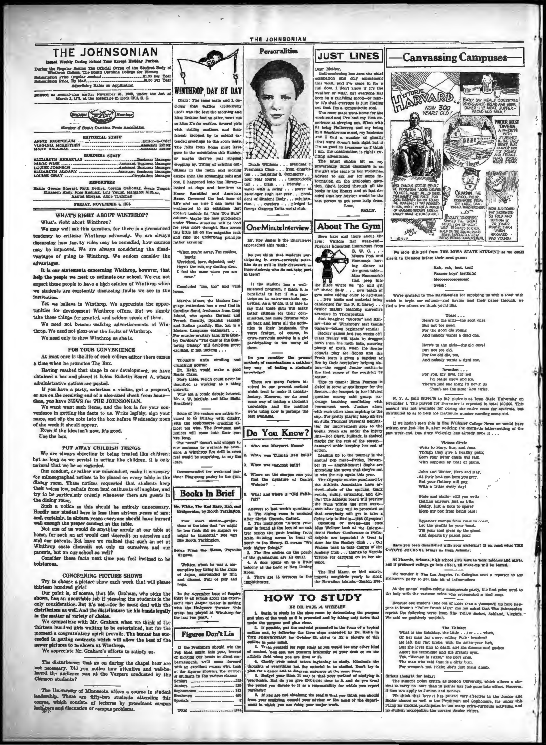| THE JOHNSONIAN                                                                                                                                                |                                                                                                      | <b>Personalities</b>                                                                     | <b>JUST LINES</b>                                                                                           | <b>Canvassing Campuses-</b>                                                                                                                        |
|---------------------------------------------------------------------------------------------------------------------------------------------------------------|------------------------------------------------------------------------------------------------------|------------------------------------------------------------------------------------------|-------------------------------------------------------------------------------------------------------------|----------------------------------------------------------------------------------------------------------------------------------------------------|
| ed Weekly During School Year Except Holiday Puriods                                                                                                           |                                                                                                      |                                                                                          |                                                                                                             |                                                                                                                                                    |
| During the Regular Session The Official Organ of the Student Body of<br>Winthrop College, The South Carolina College for Woman                                |                                                                                                      |                                                                                          | Dear Mother.<br>Bull-sessioning has been the chief                                                          |                                                                                                                                                    |
|                                                                                                                                                               |                                                                                                      |                                                                                          | occupation and only amusement<br>this week, and I've come in for a                                          |                                                                                                                                                    |
| Advertising Rates on Application                                                                                                                              | WINTHROP DAY BY DAY                                                                                  |                                                                                          | full dose. I don't know if it's the                                                                         |                                                                                                                                                    |
| Entered as second-class matter November 21, 1923, under the Act of<br>March 3, 1879, at the postoffice in Rock Hill, S. C.                                    |                                                                                                      |                                                                                          | weather or what, but everyone has<br>been in a confiding mood-or may-                                       | <b>ISTORIE</b><br>ARVARD<br>EARLY DAY MEALS CONSISTED                                                                                              |
|                                                                                                                                                               | Diary: The room mate and I, de-<br>ciding that waffles (collectively                                 |                                                                                          | be it's that everyone is just finding<br>out that I'm a sympathetic soul.                                   | OF: BREAKFAST-BREAD AND BEER<br>NOW 300<br>DINNER-ILB MEAT, SUPPER-                                                                                |
| $M_{\text{un}}$ Member                                                                                                                                        | used) was the best the morning and                                                                   |                                                                                          | The room mate went home for the                                                                             | YEARS OLD<br><b>BREAD AND MILK !</b>                                                                                                               |
|                                                                                                                                                               | Mins Erskine had to offer, went out<br>to Miss E's for waffles. Several girls                        |                                                                                          | week-end and I've had my first ex-<br>perience at sleeping out. What with                                   | PORTER HOUSE<br><b>Company</b>                                                                                                                     |
| Membar of South Carolina Press Association                                                                                                                    | with risiting mothers and their                                                                      |                                                                                          | its being Halloween and my being<br>in a mischlevous mood, my hostesses                                     | <b>TAVERN,</b><br>A FAORITE                                                                                                                        |
| <b>EDITORIAL STAFF</b>                                                                                                                                        | friend: dropped by to extend ex-<br>tended greetings to the room mate.                               |                                                                                          | and I had a number of ghostly                                                                               | <b>STUDENTS</b><br>ija o o-<br><b>SOBE</b><br>IN THE ENRY                                                                                          |
|                                                                                                                                                               | The folks from home must have                                                                        |                                                                                          | (that word doesn't look right but if<br>I'm as good in grammar as I think                                   | <b>HAYY'Y WAS</b><br>FAMOUS FOR                                                                                                                    |
| <b>BUSINESS STAFF</b>                                                                                                                                         | gone to the mountains this Sunday,                                                                   |                                                                                          | I am, the construction is right) ex-<br>citing adventures.                                                  | AID STEAKS                                                                                                                                         |
| FLIZARETH KERHULAS  Butiness Manager                                                                                                                          | or maybe they've just stopped<br>dropping by. Thring of existing con-                                | Dickle Williams president of                                                             | The latest choice bit on my<br>proverbially dumb classmats is on                                            | HOUSE STEAKS<br>er House                                                                                                                           |
| LOUISE JOHNSON                                                                                                                                                |                                                                                                      | ditions in the room and seeking Freshman Class from Charles-<br>ton majoring in Commerce | the girl who came to her Freshman                                                                           |                                                                                                                                                    |
| <b>REPORTERS</b>                                                                                                                                              | escape from the screaming oohs and<br>ohs, I happened into the library-                              | four year course unexpostedly                                                            | Adviser to sak her for some in-<br>formation on the Ethiopian ques-                                         | <b>HITAUINE</b>                                                                                                                                    |
|                                                                                                                                                               | looked at dogs and furniture in                                                                      | tali brisk friendly<br>walks with a swing hower at                                       | tion. She'd looked through all the<br>books in the library and at last de-                                  | BAIS CAMPUS STATUE BEARS                                                                                                                           |
| Hattle Greene Stewart, Ruth Bethea, Lorena Galloway, Jessie Teague, Elizabeth Kelly, Rose Ruduck, Lois Young, Margaret Aliman,                                | House Beautiful and American<br>Home. Devoured the last issue of dent of Student Body  salutato-     | Meminger High last year presi-                                                           | cided that her Adviser would be the                                                                         | THE INSTRITION , SOUN HARVARD,<br>FOUNDER, 1638, ALL OF THESE,<br>STATENENTS ARE FALSE, FOR<br>CRIMSON, THE<br>SCHOOL COLOR,                       |
| <b>FRIDAY, NOVEMBER 6, 1926</b>                                                                                                                               | Life and am sure I can never be rian etcetera pledged to                                             |                                                                                          | best person to get some help from<br>Love.                                                                  | JOIN HARVARD DO NOT FOUND<br>THE COLLEGE; IT THIS FOUNDED<br>THE LARGE BAN-<br>DANA HANDIEROSEIF,                                                  |
| <b>WHAT'S RIGHT ABOUT WINTHROP?</b>                                                                                                                           | acclimated to an existence that Gmega Gamma Delta social club.<br>doesn't include its "Are You Sure" |                                                                                          | <b>BALLY.</b>                                                                                               | IN HESE, AND IT IS NOT A STATUE ST<br>ROOM AND ECOARD<br>$\infty$<br>HAS INCREASED<br>KNOWS WHAT HE LOOKED LIKE !<br><b>30 FOLD AND</b>            |
| What's right about Winthrop?                                                                                                                                  | column. Maybe the new publication<br>under Tiess's direction will be food                            |                                                                                          |                                                                                                             | <b>FACULTY "STUDDFING"</b><br>TUNION IS<br><b>ONLITED THE "GREAT</b><br>RESELVON OF (82)                                                           |
| We may well ask this question, for there is a pronounced                                                                                                      | for even more thought. Han across                                                                    | <b>One-MinuteInterview</b>                                                               | <b>About The Gym</b>                                                                                        | E.<br><b>70 TIMES</b><br>HIGHER THAN<br><b>VALCU</b><br><b><i>WHEN</i></b><br>HALF OF THE SENIOR CLASS                                             |
| tendency to criticize Winthrop adversely. We are always                                                                                                       | this little bit on the magazine rack<br>and find the underlying principle                            | Mr. Roy James is the interviewee                                                         | Seen here and there about the                                                                               | North<br>HARVARD<br>BEING EXPLUED A FEW<br>WAS YOUNG!<br>DACP                                                                                      |
| discussing how faculty rules may be remedied, how courses                                                                                                     | rather amusing:                                                                                      | approached this week:                                                                    | gym: Visitors last week-end-<br>Physical Education instructors from                                         |                                                                                                                                                    |
| may be improved. We are always considering the disad-<br>vantages of going to Winthrop. We seldom consider the                                                | "When you're away. I'm restless,                                                                     | Do reg think that stadents par-                                                          | G. W. C.<br>Misses Post and                                                                                 | We slole this yell from THE IOWA STATE STUDENT so we could                                                                                         |
| advantages.                                                                                                                                                   | lonely,<br>Wretched, bare, dujected; only                                                            | ticipating in extra-curricula activ-<br>ities do as well in their classwork as           | œ<br>Hammack hav-                                                                                           | give it to Clemson before their next game:                                                                                                         |
| It is our statementa concerning Winthrop, however, that                                                                                                       | Here's the rub, my darling dear,<br>I feel the same when you are                                     | those students who do not take part                                                      | ing dinner at<br>the musit table-                                                                           | Rah, rah, tool, tool!<br>Farmer boys' institute!                                                                                                   |
| help the people we meet to estimate our school. We can not                                                                                                    | near."                                                                                               | in them?                                                                                 | Miss Hammack's<br>first peep into                                                                           | Массаводоровское!                                                                                                                                  |
| expect these people to have a high opinion of Winthrop when                                                                                                   | Concluded "me, too" and went                                                                         | If the student has a well-<br>balanced program, I think it is                            | a n<br>the place where we "go and get                                                                       | Swish!                                                                                                                                             |
| we students are constantly discussing faults we see in the<br>institution.                                                                                    | home                                                                                                 | beneficial to her if she par-                                                            | it" thrice daily zew batch of<br>gym suits adding color to activities                                       | We're grateful to The Davidsonian for supplying us with a toast with                                                                               |
| Yet we believe in Winthrop. We appreciate the oppor-                                                                                                          | Martha Moore, the Modern Lan-                                                                        | ticinates in extra-curricula ac-<br>tivities. As a whole, it is safe to                  | New books and material being<br>catalogued for the P. E. library                                            | which to begin our column-and having read their paper through, we<br>find a few others we think you'd like.                                        |
| tunities for development Winthrop offers. But we simply                                                                                                       | ruage enthusiast has a real find in<br>Caroline Sand, freshman from Long                             | say that these girls will make<br>better citizens for their com-                         | Senior majors teaching corrective<br>exercises in Therapeutica.                                             |                                                                                                                                                    |
| take these things for granted, and seldom speak of them.                                                                                                      | Island, who speaks German and<br>French fluently, Openlab parsibly                                   | munities, not mare fixtures who                                                          | Just imagine: "Scottle" and Kin-                                                                            | $T$ oasi<br>Here's to the girls-the good ones                                                                                                      |
| We need not become walking advertisements of Win-                                                                                                             | and Italian passibly. She, too, is a<br>Modern Language enthusiast                                   | sit back and leave all the activ-<br>ities to their husbands. The                        | sey-two of Winthrop's best tennis<br>players-taking beginners' tennis!                                      | But not too good.<br>Por the good die young                                                                                                        |
| throp. We need not gloss over the faults of Winthrop.<br>We need only to show Winthrop as she is.                                                             | For murder mystery fans, Erie Stan-                                                                  | worst feature, of course, in<br>extra-curricula activity is a girl                       | Hockey games just two weeks off!<br>Class rivalry will ugain be dragged                                     | And nobody wants a dead one.                                                                                                                       |
|                                                                                                                                                               | ley Gardner's "The Case of the Stut-<br>tering Bishop" will doubtless prove                          | participating in too many of                                                             | forth from the moth balls, assuring                                                                         | Here's to the girls-the old ones!                                                                                                                  |
| FOR YOUR CONVENIENCE                                                                                                                                          | exciting, if not inciting                                                                            | them.                                                                                    | pleuty of spirit, when the Senior<br>cohorts play the Sophs and the                                         | Bart not too old.<br>For the old die, too.                                                                                                         |
| At least once in the life of each college editor there comes                                                                                                  | Thoughts while strolling and                                                                         | Do you consider the present<br>methods of examinations a satisfac-                       | Frosh team is given a baptism of<br>fire by their heretofore beloius sis-                                   | And nobody wants a dyed one.                                                                                                                       |
| a time when he promotes The Box.<br>Having reached that stage in our development, we have                                                                     | runching scorns:<br>Dr. Keith would make a good                                                      | tory way of testing a student's                                                          | ters-the rugged Junior outfit-in                                                                            | Devotion                                                                                                                                           |
| obtained a box and placed it below Bulletin Board A, where                                                                                                    | Santa Claus.<br>Mary Libbs Welch could never be                                                      | mowledge?                                                                                | the first games of the youthful 36<br>aeason.                                                               | For you, my love, for you<br>I'd battle snow and les.                                                                                              |
| administrative notices are posted.                                                                                                                            | described as working at a thing                                                                      | There are many factors in-<br>volved in our present method                               | Tips on teams: Elma Pearson is<br>siated to serve as goalkeeper for the                                     | There's just one thing I'll never do                                                                                                               |
| If you have a party, entertain a visitor, got a proposal,<br>or are on the receiving end of a nice-sized check from home-                                     | gingerly.<br>Why not a comic debate between                                                          | which tend to make it unnatis-                                                           | Seniors-the bouquet to her! Muted                                                                           | That's see the same rhow twice.                                                                                                                    |
| then, you have NEWS for THE JOHNSONIAN.                                                                                                                       | Mr. J. W. McCain and Miss Stella<br>Bradfield?                                                       | factory. However, we do need<br>some way of testing a student's                          | question among said group; ex-<br>change teaching conflicting with                                          | N. Y. A. paid \$8,246.70 to 849 students at Yowa State University on<br>November 1. The payroll for November is expected to total \$10,000. This   |
| We want want such items, and the box is for your con-                                                                                                         |                                                                                                      | knowledge and the method<br>we're using now is perhaps the                               | tournament week. Juniors along<br>with each other class aspiring to the                                     | amount was not available for paying the entire costs for students, but                                                                             |
| venience in getting the facts to us. Write legibly, sign your<br>name, and slip the note into the box hefore Wednesday noon                                   | Some of the seniors are rather in-<br>clined to be bulging with dignity,                             | best svailable.                                                                          | cup For pretty playing keep an eye                                                                          | distributed so as to help toe maximum number needing some aid.                                                                                     |
| of the week it should appear.                                                                                                                                 | with the sophomores cracking al-<br>most too wise. The freshmen and                                  |                                                                                          | on Julia Thomas! Personal nomina-<br>tion for improvement goes to the                                       | If we hadn't seen this in The Wellesley College News we would have<br>written one just like it, after noticing the energetic letter-writing of the |
| Even if the idea isn't new, it's good.<br>Use the box.                                                                                                        | juniors will come into their own                                                                     | Do You Know?                                                                             | Sophs. Prosh are under the injury<br>jinx-Dot Clark, fullback, is shelved                                   | past week-end. But since Wellesley has already done it                                                                                             |
|                                                                                                                                                               | 'ere long.<br>The "swell" doem't add enough to                                                       |                                                                                          | maybe for the rest of the season-                                                                           | Vicinos Cirele                                                                                                                                     |
| <b>PUT AWAY CHILDISH THINGS</b>                                                                                                                               | any sentence to warrant its exist-<br>ence. A Winthrop fire drill in new                             | 1. Who was Margaret Nance?                                                               | damaged ankle keeping her out of<br>action.                                                                 | Write to Mary, Sue, and Jans.<br>Though they give a healthy pain;                                                                                  |
| We are always objecting to being treated like children;<br>but as long as we persist in acting like children, it is only                                      | reel would be surprising, to say the                                                                 | 2. When was Tillman Hall built?                                                          | Leading up to the tourney is the<br>annual pep meet-Priday, Novem-                                          | Soon your letter chute will rain                                                                                                                   |
| natural that we be so regarded.                                                                                                                               | least.                                                                                               | 3. When was Bancroft built?                                                              | ber 13 - amphitheatrel Sophs are                                                                            | With supplies by boat or plane,                                                                                                                    |
| Our conduct, or rather our misconduct, make it necessary<br>for mimeographed notices to be placed on every table in the                                       | Recommended for week-end pas<br>time: Ping-pong parky in the gym                                     | Where on the campus can you                                                              | spreading the news that they're out<br>to win the cup again this year.                                      | John and Walter, Herb and Ray.<br>. At their best can bore you grey.                                                                               |
| dining room. These notices requested that students keep                                                                                                       |                                                                                                      | find the signature of Daniel<br>Webster?<br>$\sim$                                       | The Olympic movies purchased by<br>the Athletic Association have ar-                                        | But your flattery will pay,                                                                                                                        |
| r voices low, refrain from loud outbursts of laughter, and                                                                                                    | <b>Books In Brief</b>                                                                                | What and where is "Old Faith-                                                            | ahots of the open<br>птео<br>events, riding, swimming, and div-                                             | With a letter every day!                                                                                                                           |
| try to be particularly orderly whenever there are guests in<br>the dining room.                                                                               |                                                                                                      | ful?"                                                                                    | ing! The Athletic board will preview                                                                        | Stale and static-still you write-<br>Getting answers just as trite.                                                                                |
| Such a notice as this should be entirely unnecessary.                                                                                                         | Mr. White, The Rad Barp, He's, and                                                                   |                                                                                          | the films within the next week-<br>Answers to last week's questions: , soon after they will be presented so | Buddy, just a note to spare?<br>Keep my box from being bare!                                                                                       |
| Hardly any student here is less than sixtoen years of age;<br>and, certainly, in sixteen years everyone abould have learned                                   | Bridgewater, by Booth Tarkington.                                                                    | after Christ Church, Oxford.                                                             | 1. The dining room is modeled that everybody will get to take a<br>flying trip to Berlin-1936 Olympics!     |                                                                                                                                                    |
| well enough the proper conduct at the table.                                                                                                                  | Pour short stories-projec-<br>tions of the idea that "we might                                       | 2. The inscription "Altions Peti-                                                        | Speaking of movies-the ones                                                                                 | Squander stamps from coast,<br>Let the profits be your boast,                                                                                      |
| Not one of us would do anything unruly at our table at                                                                                                        | be less foots did we suspect we                                                                      | mus" is found at the foot of an oak<br>tree beside the path leading from                 | Miss Wellner took at the Interna-<br>tional Hockey Conference in Phila-                                     | Till your soul gives up the short                                                                                                                  |
| home, for such an act would cast discredit on ourselves and<br>and our parents. But have we realized that such an act at                                      | might ba immortal." Not very<br>like Booth Tarkington.                                               | South to the library. It means "We                                                       | Main Building across in front of delphis are topnotch! A treat in<br>store for the Hockey Club Cat          | And departs by parcel post!                                                                                                                        |
| Winthrop casts discredit not only on ourselves and our                                                                                                        | Sengs From the Sleam, Toyohiko                                                                       | seek higher things."                                                                     | Watson back to take charge of the                                                                           | Have you been distallsfied with your uniforms? If so, read what THE<br>COYOTE JCURNAL brings us from Arizona:                                      |
| parents, but on our school as well?<br>Consider these facts next time you feel inclined to be                                                                 | Kegawa.                                                                                              | 3. The five arches on the porch<br>of the gymnasium are all equal.                       | Archery Club thanks to Venetia<br>Tribble for carrying on in her ab-                                        | At Phoenix, Arizona, high school girls have to wear middles and skirts.                                                                            |
| bolsterous.                                                                                                                                                   | Written when he was a con-                                                                           | 4. A door opans on to a little<br>balcony at the back of New Dining                      | sence.                                                                                                      | and if proposed rulings go into effect, all mase-up will be barred.                                                                                |
| <b>CONCEPNING PICTURE SHOWS</b>                                                                                                                               | sumptive boy living in the shams<br>of Japan, surrounded by filth                                    | Room.                                                                                    | 'The Hui Manu, or bird society,                                                                             | We wonder if The Los Angeles Jr. Collegian sent a reporter to the                                                                                  |
| Try to choose a picture show each week that will please                                                                                                       | and disease. Full of pity and                                                                        | 5. There are 15 terraces in the<br>amphitheater.                                         | imports aongbirds yearly to stock<br>the Hawaiian Islands.-Boston Eve-                                      | Halloween party to get this bit of information:                                                                                                    |
| thirteen hundred girls!                                                                                                                                       | hope.                                                                                                |                                                                                          |                                                                                                             | At the annual nudist colony masquerade party, the first prize went to                                                                              |
| Our point is, of course, that Mr. Graham, who picks the<br>abown, has an unenviable job if pleasing the students is the there is an article about the experi- | In the November tsuse of Esquire                                                                     |                                                                                          | <b>HOW TO STUDY</b>                                                                                         | the lady with the varicose veins who represented a road man.                                                                                       |

THE JOHNSONIAN

The University of Minnesota secures in student states and all the student of Minnesota secures in student of the students attending this processes compas, which consists of lectures by prominent campus lectures being the l

newer pictures to be shown at Winthrop.<br>
We appreciate Mr. Graham's efforts to satisfy us.<br>
The disturbance that go on during the chapel hour are barrassions, well consistent and alleged a basic in a<br>mode in a small consi **Jes:**<br>-- 229<br>-- 230<br>-- 406<br>-- 606

 $\mathbf{x}$ 

 $\ddot{\phantom{0}}$ 

abows, has an unearisable job if pleasing the students is the like the set of an article and with the mention as well. And the distributors are well. And the distributions are well. And the distribution is an interval in

within a non, by two<br>way and the reality of this spin and non-sing and the settline in your mind.<br>In the settline is the settline in the settline in the settline in the settline in<br> $\mathcal{R}_1$  is a real point in the settle

BE DR. PAUL AL WHEELER<br>
IS DR. PAUL AL WHEELER<br>
IS DR. PAUL AL WHEELER<br>
The stady in the state use use of determining the papears (control that is checked that The Joint State of the set and plus and the state of the state

Ĩ

ţ

ſ.

丬

İ

**The Thinker**<br> **The Thinker**<br> **Of her man far away, the little ...; or ... wideh,<br>
<b>Of her man far away**, sullary Puller brushes?<br>
His left her flat brothe, with the seren-year incl.<br>
But also have blink and to dent and t

- 
- 

Scriess thought for today: The follow: <br> The final contently, which allows a six-dent contry pro nore than 16 points has just gues into effect. However, it does not apply to Jumber and Schicker. However, we introduce the<br>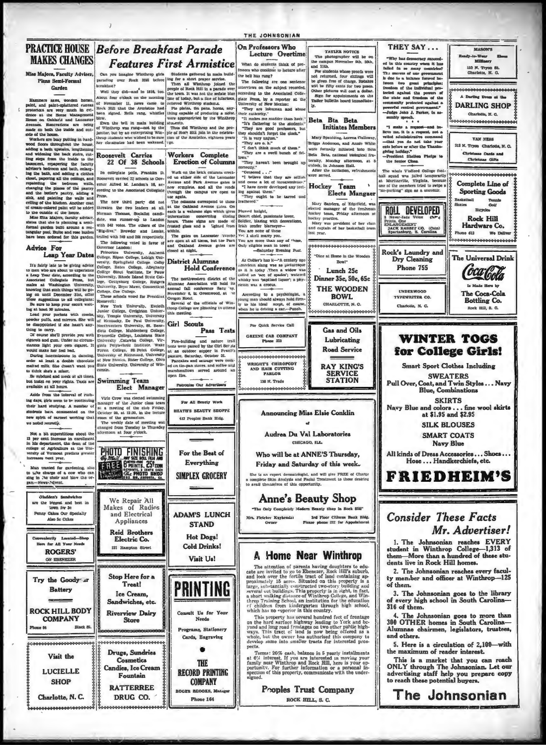### **PRACTICE HOUSE** Refore Breakfast Parade On Professors Who **MAKES CHANGES Features First Armistice**  $\label{eq:22} \begin{tabular}{p{0.8cm}p{0.8cm}} \hline \textbf{A} & \textbf{0} & \textbf{0} & \textbf{0} & \textbf{0} & \textbf{0} & \textbf{0} & \textbf{0} & \textbf{0} & \textbf{0} & \textbf{0} & \textbf{0} & \textbf{0} & \textbf{0} & \textbf{0} & \textbf{0} & \textbf{0} \\ \hline \textbf{C} & \textbf{A} & \textbf{B} & \textbf{B} & \textbf{B} & \textbf{B} & \textbf{B} & \textbf{B} & \textbf{B} & \textbf{$ Mias Majors, Faculty Adviser he hell has rung? Plana Semi-Formal Garden

Hammers saws, worden horses<br>paint, and paint-spinttered canvas protectors are very much in evi-<br>dence at the Horse Management House on Oaklard and Lancast ues. Renovations are being<br>e on both the inside and out-

made on both the inades and out-<br>sade and out-<br>assessed from the bosons. Weak-ray pointing in hard-wood from<br>a kinetic probability the house and widening the boat updating the<br>sade start paper in the inside to the base ra

o uno oumme ou une nome.<br>Miss Etta Majors, faculty advis states that she is nismine a semiformal garden built around  $\overline{1}$ tangular pool. Bulbs and rose bush bave been ordered for this garder

### **Advice For** Leap Year Dates

It's fairly late to be giving advice a Leap when the are should to experience a Leap Year date, according to the Associated Collegiate Press, but makes a  $\mathcal{N}$  Weakhapkon University, the space and the space of the spac

Be sure to keep your escort waiting at least so minutes.<br>Load your pockets with combs,<br>powder puffs, and mirrors. She will<br>be disappointed if she hasn't any-

Mappointed if she names any state of carry<br>g to carry and it provide you with<br>rets and gum. Under no circum-<br>rets and gum. Under no circum-<br>let make her feel bad.<br>Ad make her feel bad. 57

vous mare ner zeu ma.<br>During intermissions in dancing,<br>scien at least a double chocolate<br>naited milk. She doesn't want you to think she's a miser.

Be subdued and meak at all time but insist on your rights. Taxis are

Aside from the interval of rush ing days, girls seem to be continuing their hard studying. A number of students bars, commented on the<br>new spirit of earnest working that we noted recently.

Not a bit superstitious about the 13 per cent increase in enrolle<br>in his department, tha dean of u of th college of Agriculture at the University of Vermont predicts greate es next year.

**Penny Cakes Our Specialty** 

Also Sc Cokes

Hom for All Voor Noah

**ROGERS'** 

ON EBENEZEI

Try the Goody ar

**Battery** 

**ROCK HILL BODY** 

**COMPANY** 

Visit the

**LUCIELLE** 

**SHOP** 

**Summer Rd.** 

Located 83



of Winthrop was rang-mot by the<br>lanitor, but by an enterprising Win-<br>throp students who wished to be sure Thus did Winthrop and the protion of the Armistice, eighteen years her clausmates had been wakened  $\sim$ 

### Roosevelt Carries<br>22 Of 38 Schools Workers Complete<br>Erection of Columns

In collegiate tothe Franklin D. Wark on the brick columns erect were on the ories columns erected on either side of the Lancaster<br>Avenue and Park Avenue gates is<br>now ecophete, and all the roads Roosevelt carried 22 schools to Govcording to the Associated Collegiat through the campus are open to Unrough the cause of the cause of the column correspond to those at the Oakland Avenue rates. On each is a welcome sign which gives the signal have a mode of frontato gases and a lighted from the winds gases and a lighted The new third party did no threaten the two leaders at all

crman Thomas, Socialist candidate, was runner-un to Landor with 542 votes. The others of the<br>"Big-five," Browder and Lemke railed with 349 and 268 respectively

The following voted in favor of Princet Tiniversity Amber Princeton University, Amherst<br>College, Ripan College, Lehigh University, Springfield College. Colby<br>College, Bates College, Alfeghany<br>College Stout Unstitute, De Pauw **District Alumnae** University, Rhode Island State Col lege. Gettysburg College. Butger

The northwestern district of the<br>idemnas Association will hold its<br>immual fall conference Satu 'ny,<br>November 6, in Greenwood, at 'ne rege, Gerrysaurg Conege, Rutger<br>University, Bryn Mawr, Connecticus<br>College, Coe College,<br>These schools voted for Presiden november 6, in Oreenwood, at views<br>Several of the officials of Win<br>hrop College are planning to attenties<br>this meeting.

Connected and the President President Research<br>
Rosesville Research Connected and The State Towns and Junior College, Creighton Chitest<br>
Show The College, Creighton Chitest<br>
Show Theorem Townstall, Show Theorem Townstate C Civil Scouts

**Swimming Team** 

pen fire. Patronise Our Advertisers Elect Manager Virle Crow was elected swimmin<br>sanager of the Junior class tear For All Beauty Work

at a meeting of the club Friday.<br>October 20, at 12:30, in the lecture **HEATER REALTY SHOPPE** Scouts we as a symmetry of the gymmetric.<br>The weekly date of meeting was<br>hanged from Tuesday to Thursday<br>iternoon at four o'clock. 412 Peoples Bank Bidg

For the Best of Everything **SIMPLEX GROCERY** 

**Hot Dogs!** 

**Cold Drinks!** 

Visit Us!

PRINTING

Consult He for Your

Needs

Programs, Stationery

Cards, Engraving

**THE** 

**RECORD PRINTING** 

**COMPANY** 

**REGORS 36** 

Phone 164

Makes of Radios and Electrical **ADAM'S LUNCH** Appliances **STAND** 

**Reid Brothers** Electric Co. 121 Hampton Street

Stop Here for a Treat! Ice Cream. Sandwiches, etc.

**Riverview Dairy Store** 

,,,,,,,,,,,,,,,,,,,,,,, Drugs, Sundries Cosmetics **Candies, Ice Cream** 

Fountain **RATTERREE** 

DRUG CO. Charlotte, N. C.

Black St.

## THE JOHNSONIAN



nterviews on the subject recorded coording to the Associated Colle-Beta Bta Beta

īv.

Initiates Members

**Elects Mangaer** 

Mary Spaulding, Lorena Galloway

Briggs Anderson, and Annie White<br>were formally initiated into Bets

Beta Beta, national biological fratermity, Monday afternoon, at 8<br>o'clock, in Johnson Hall.<br>After the initiation, refreshments

Mary Sanders, of Edgefield, was<br>elected manager of the freshman beckey team. Friday afternoon at Mary race<br>beckey practice.<br>Mary was preddent of her baseboll team<br>and captah of her basketball team<br>last year.

"Dine at Home in the Wo

Bowl"

Lunch 25c

Dinner 35c, 50c, 65c

**THE WOODEN** 

**ROWL** 

CHARLOTTE, N. C.

**Gas and Oils** 

Lubricating

**Road Service** 

**STATION** 

Hockey Team

according to the Associated Colle-<br>graduate State Press, by a reporter at the University of New Mexico:<br>They are Inhument and abuse The State State Press, and a state of the State Press, and the<br>Press are not detections b "They are o. k."<br>"I don't think much of them."<br>"They are a swell bunch of fel-

"They haven't been brought up rectly.

"Centered . . ."<br>"I believe that they are selfish nd cause a lot of inconvenience."<br>"I have never developed any icel-

ng against them."<br>"They ought to be tarred and

featnesses<br>
Plumed knight,<br>
Plumed knight,<br>
Discrete chief, passionate lover<br>
Ecole chief, banding with decoration<br>
Vou are none of these<br>
Vou are more than any of<br>
Vou are more than any of<br>
Only cligible man in town!<br>
—Sa

As Collier's has it-"A centure age **Hold Conference** 

As Coller's has M--"A century ago<br>american slang was as it is today .<br>Then a widow was<br>called an 'nee of spades'; watered<br>whisky was "angeland liquor': a phy-<br>steinh was a crocus. According to a psychologist, a<br>young man should always hold firm-<br>by to his ideal acept, of course,<br>when he is driving a car.--Punch.

tor Outck Service Call

Pass Tests **GREENE CAB COMPANY** Phone 333 ,,,,,,,,,,,,,,,,,,,,,, WRIGHTS CHIROPODY

**RAY KING'S** AND HAIR CUTTING PARLOR **SERVICE** 138 N Trade

**Announcing Miss Elsie Conklin** 

Audrea Du Val Laboratories CHICAGO, ILL

Who will be at ANNE'S Thursday, Friday and Saturday of this week.

She is an expert dermatologist, and will give FREE of Charge<br>complete Skin Analysia and Facial Treatment to those desiring<br>avail themselves of this opportunity.

# **Anne's Beauty Shop**

"The Only Completely Medern Beauty Shop in Rock Hill" 

# A Home Near Winthrop

The attention of parents having doughters to educate are invited to go to Ebenezer, Rock Hill's submitted and look over the fertile tract of hand containing approximately 15 acress. Situated on this property is a short wal

which has no "operor" in this country.<br>This property has several hundred feet of frontage on the hard surface high<br>way leading to York and boy you al and long road frontages on two other public high-<br>ways. This tract of la

precs.<br>
Terms: 20% cash, balance in 5 yearly installments<br>
at  $6\%$  interest. If you are interested in moving your<br>
family near Winthrop and Rock Hill, here is your optimity. For further information or a personal in-<br>
spe

Pooples Trust Company **ROCK HTLL S.C.** 



tested arab

the state and free

ably speech.

# **WINTER TOGS** for College Girls!

**Smart Sport Clothes Including SWEATERS** Pull Over, Coat, and Twin Styles ... Navy **Blue, Combinations** 

**SKIRTS** Navy Blue and colors . . . fine wool skirts<br>at \$1.95 and \$2.95

> **SILK BLOUSES SMART COATS**

**Navy Blue** 

All kinds of Dress Accessories ... Shoes .. Hose ... Handkerchiefs, etc. FRIEDHEIM'S

**Consider These Facts** Mr. Advertiser!

1. The Johnsonian reaches EVERY<br>student in Winthrop College-1,313 of<br>them-More than a hundred of these studants live in Rock Hill homes.

2. The Johnsonian reaches every faculty member and officer at Winthrop-125 of them.

3. The Johnsonian goes to the library<br>of every high school in South Carolina-<br>316 of them.

4. The Johnsonian goes to more than<br>300 OTHER homes in South Carolina-Alumnae chairmen, legislators, trustees, and others.

5. Here is a circulation of 2.100--with the maximum of reader interest.

This is a market that you can reach ONLY through The Johnsonian. Let our advertising staff help you prepare copy<br>to reach these potential buyers.

The Johnsonian



Fire-building and nature trait<br>tests were passed by the Girl Seculation and an outdoor support in Fewell's<br>passine, Saturday, October 31.<br>Pancakes and anauge were cook-<br> $\mathbf{P}_{\text{max}}$  on the pan store, and coffee and<br>marsi